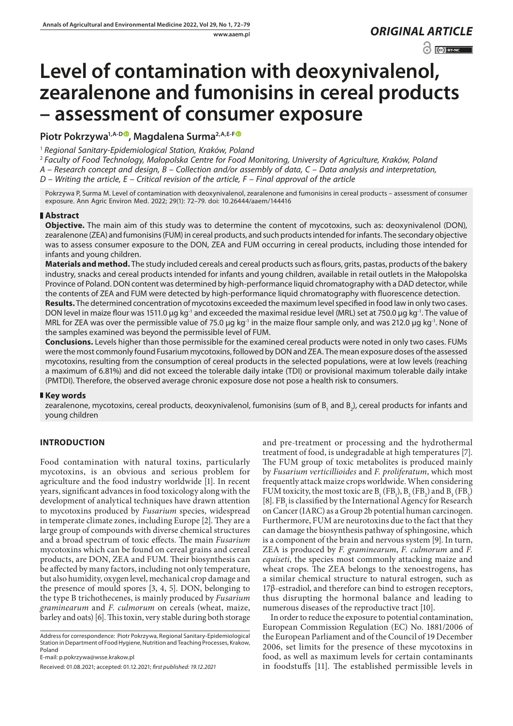www.aaem.pl *ORIGINAL [ARTICLE](https://creativecommons.org/licenses/by-nc/3.0/pl/deed.en)* 

 $\odot$   $\odot$  BY-NC

# **Level of contamination with deoxynivalenol, zearalenone and fumonisins in cereal products – assessment of consumer exposure**

# **Piotr Pokrzywa1,A-[D](https://orcid.org/0000-0002-6954-4263) , Magdalena Surma2,A,E-[F](https://orcid.org/0000-0001-8266-1619)**

<sup>1</sup> *Regional Sanitary-Epidemiological Station, Kraków, Poland*

<sup>2</sup> *Faculty of Food Technology, Małopolska Centre for Food Monitoring, University of Agriculture, Kraków, Poland*

*A – Research concept and design, B – Collection and/or assembly of data, C – Data analysis and interpretation,* 

*D – Writing the article, E – Critical revision of the article, F – Final approval of the article*

Pokrzywa P, Surma M. Level of contamination with deoxynivalenol, zearalenone and fumonisins in cereal products – assessment of consumer exposure. Ann Agric Environ Med. 2022; 29(1): 72–79. doi: 10.26444/aaem/144416

# **Abstract**

**Objective.** The main aim of this study was to determine the content of mycotoxins, such as: deoxynivalenol (DON), zearalenone (ZEA) and fumonisins (FUM) in cereal products, and such products intended for infants. The secondary objective was to assess consumer exposure to the DON, ZEA and FUM occurring in cereal products, including those intended for infants and young children.

**Materials and method.** The study included cereals and cereal products such as flours, grits, pastas, products of the bakery industry, snacks and cereal products intended for infants and young children, available in retail outlets in the Małopolska Province of Poland. DON content was determined by high-performance liquid chromatography with a DAD detector, while the contents of ZEA and FUM were detected by high-performance liquid chromatography with fluorescence detection.

**Results.** The determined concentration of mycotoxins exceeded the maximum level specified in food law in only two cases. DON level in maize flour was 1511.0 μg kg<sup>-1</sup> and exceeded the maximal residue level (MRL) set at 750.0 μg kg<sup>-1</sup>. The value of MRL for ZEA was over the permissible value of 75.0 μg kg<sup>-1</sup> in the maize flour sample only, and was 212.0 μg kg<sup>-1</sup>. None of the samples examined was beyond the permissible level of FUM.

**Conclusions.** Levels higher than those permissible for the examined cereal products were noted in only two cases. FUMs were the most commonly found Fusarium mycotoxins, followed by DON and ZEA. The mean exposure doses of the assessed mycotoxins, resulting from the consumption of cereal products in the selected populations, were at low levels (reaching a maximum of 6.81%) and did not exceed the tolerable daily intake (TDI) or provisional maximum tolerable daily intake (PMTDI). Therefore, the observed average chronic exposure dose not pose a health risk to consumers.

# **Key words**

zearalenone, mycotoxins, cereal products, deoxynivalenol, fumonisins (sum of  ${\sf B}_{\rm_1}$  and  ${\sf B}_2$ ), cereal products for infants and young children

# **INTRODUCTION**

Food contamination with natural toxins, particularly mycotoxins, is an obvious and serious problem for agriculture and the food industry worldwide [1]. In recent years, significant advances in food toxicology along with the development of analytical techniques have drawn attention to mycotoxins produced by *Fusarium* species*,* widespread in temperate climate zones, including Europe [2]. They are a large group of compounds with diverse chemical structures and a broad spectrum of toxic effects. The main *Fusarium*  mycotoxins which can be found on cereal grains and cereal products, are DON, ZEA and FUM. Their biosynthesis can be affected by many factors, including not only temperature, but also humidity, oxygen level, mechanical crop damage and the presence of mould spores [3, 4, 5]. DON, belonging to the type B trichothecenes, is mainly produced by *Fusarium graminearum* and *F. culmorum* on cereals (wheat, maize, barley and oats) [6]. This toxin, very stable during both storage

Address for correspondence: Piotr Pokrzywa, Regional Sanitary-Epidemiological Station in Department of Food Hygiene, Nutrition and Teaching Processes, Krakow, Poland

E-mail: p.pokrzywa@wsse.krakow.pl

Received: 01.08.2021; accepted: 01.12.2021; *first published: 19.12.2021*

and pre-treatment or processing and the hydrothermal treatment of food, is undegradable at high temperatures [7]. The FUM group of toxic metabolites is produced mainly by *Fusarium verticillioides* and *F. proliferatum*, which most frequently attack maize crops worldwide. When considering FUM toxicity, the most toxic are  $B_1$  (FB<sub>1</sub>),  $B_2$  (FB<sub>2</sub>) and  $B_3$  (FB<sub>3</sub>) [8]. FB<sub>1</sub> is classified by the International Agency for Research on Cancer (IARC) as a Group 2b potential human carcinogen. Furthermore, FUM are neurotoxins due to the fact that they can damage the biosynthesis pathway of sphingosine, which is a component of the brain and nervous system [9]. In turn, ZEA is produced by *F. graminearum*, *F. culmorum* and *F. equiseti*, the species most commonly attacking maize and wheat crops. The ZEA belongs to the xenoestrogens, has a similar chemical structure to natural estrogen, such as 17β-estradiol, and therefore can bind to estrogen receptors, thus disrupting the hormonal balance and leading to numerous diseases of the reproductive tract [10].

In order to reduce the exposure to potential contamination, European Commission Regulation (EC) No. 1881/2006 of the European Parliament and of the Council of 19 December 2006, set limits for the presence of these mycotoxins in food, as well as maximum levels for certain contaminants in foodstuffs [11]. The established permissible levels in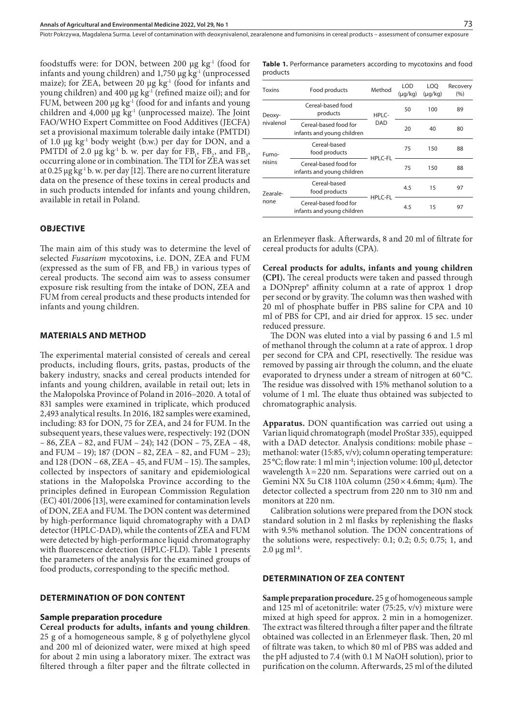Piotr Pokrzywa, Magdalena Surma, Level of contamination with deoxynivalenol, zearalenone and fumonisins in cereal products – assessment of consumer exposure

foodstuffs were: for DON, between 200  $\mu$ g kg<sup>-1</sup> (food for infants and young children) and  $1,750 \mu$ g kg<sup>-1</sup> (unprocessed maize); for ZEA, between 20  $\mu$ g kg<sup>-1</sup> (food for infants and young children) and 400 μg kg-1 (refined maize oil); and for FUM, between 200  $\mu$ g kg<sup>-1</sup> (food for and infants and young children and 4,000 μg  $kg<sup>1</sup>$  (unprocessed maize). The Joint FAO/WHO Expert Committee on Food Additives (JECFA) set a provisional maximum tolerable daily intake (PMTDI) of 1.0 μg kg-1 body weight (b.w.) per day for DON, and a PMTDI of 2.0  $\mu$ g kg<sup>-1</sup> b. w. per day for FB<sub>1</sub>, FB<sub>2</sub>, and FB<sub>3</sub>, occurring alone or in combination. The TDI for ZEA was set at 0.25  $\mu$ g kg<sup>-1</sup> b. w. per day [12]. There are no current literature data on the presence of these toxins in cereal products and in such products intended for infants and young children, available in retail in Poland.

## **OBJECTIVE**

The main aim of this study was to determine the level of selected *Fusarium* mycotoxins, i.e. DON, ZEA and FUM (expressed as the sum of  $FB_1$  and  $FB_2$ ) in various types of cereal products. The second aim was to assess consumer exposure risk resulting from the intake of DON, ZEA and FUM from cereal products and these products intended for infants and young children.

## **MATERIALS AND METHOD**

The experimental material consisted of cereals and cereal products, including flours, grits, pastas, products of the bakery industry, snacks and cereal products intended for infants and young children, available in retail out; lets in the Małopolska Province of Poland in 2016–2020. A total of 831 samples were examined in triplicate, which produced 2,493 analytical results.In 2016, 182 samples were examined, including: 83 for DON, 75 for ZEA, and 24 for FUM. In the subsequent years, these values were, respectively: 192 (DON – 86, ZEA – 82, and FUM – 24); 142 (DON – 75, ZEA – 48, and FUM – 19); 187 (DON – 82, ZEA – 82, and FUM – 23); and 128 (DON – 68, ZEA – 45, and FUM – 15). The samples, collected by inspectors of sanitary and epidemiological stations in the Małopolska Province according to the principles defined in European Commission Regulation (EC) 401/2006 [13], were examined for contamination levels of DON, ZEA and FUM. The DON content was determined by high-performance liquid chromatography with a DAD detector (HPLC-DAD), while the contents of ZEA and FUM were detected by high-performance liquid chromatography with fluorescence detection (HPLC-FLD). Table 1 presents the parameters of the analysis for the examined groups of food products, corresponding to the specific method.

# **DETERMINATION OF DON CONTENT**

#### **Sample preparation procedure**

**Cereal products for adults, infants and young children**. 25 g of a homogeneous sample, 8 g of polyethylene glycol and 200 ml of deionized water, were mixed at high speed for about 2 min using a laboratory mixer. The extract was filtered through a filter paper and the filtrate collected in **Table 1.** Performance parameters according to mycotoxins and food products

| <b>Toxins</b>       | Food products                                       | Method         | LOD<br>$(\mu q/kg)$ | LOO<br>$(\mu q/kg)$ | Recovery<br>(9/6) |
|---------------------|-----------------------------------------------------|----------------|---------------------|---------------------|-------------------|
| Deoxy-<br>nivalenol | Cereal-based food<br>products                       | HPLC-          | 50                  | 100                 | 89                |
|                     | Cereal-based food for<br>infants and young children | <b>DAD</b>     | 20                  | 40                  | 80                |
| Fumo-<br>nisins     | Cereal-based<br>food products                       | <b>HPLC-FL</b> | 75                  | 150                 | 88                |
|                     | Cereal-based food for<br>infants and young children |                | 75                  | 150                 | 88                |
| Zearale-<br>none    | Cereal-based<br>food products                       |                | 4.5                 | 15                  | 97                |
|                     | Cereal-based food for<br>infants and young children | <b>HPLC-FL</b> | 4.5                 | 15                  | 97                |

an Erlenmeyer flask. Afterwards, 8 and 20 ml of filtrate for cereal products for adults (CPA).

**Cereal products for adults, infants and young children (CPI).** The cereal products were taken and passed through a DONprep® affinity column at a rate of approx 1 drop per second or by gravity. The column was then washed with 20 ml of phosphate buffer in PBS saline for CPA and 10 ml of PBS for CPI, and air dried for approx. 15 sec. under reduced pressure.

The DON was eluted into a vial by passing 6 and 1.5 ml of methanol through the column at a rate of approx. 1 drop per second for CPA and CPI, resectivelly. The residue was removed by passing air through the column, and the eluate evaporated to dryness under a stream of nitrogen at 60 °C. The residue was dissolved with 15% methanol solution to a volume of 1 ml. The eluate thus obtained was subjected to chromatographic analysis.

**Apparatus.** DON quantification was carried out using a Varian liquid chromatograph (model ProStar 335), equipped with a DAD detector. Analysis conditions: mobile phase – methanol: water (15:85, v/v); column operating temperature: 25 °C; flow rate: 1 ml min**-1**; injection volume: 100 μl, detector wavelength  $\lambda$  = 220 nm. Separations were carried out on a Gemini NX 5u C18 110A column (250×4.6mm; 4µm). The detector collected a spectrum from 220 nm to 310 nm and monitors at 220 nm.

Calibration solutions were prepared from the DON stock standard solution in 2 ml flasks by replenishing the flasks with 9.5% methanol solution. The DON concentrations of the solutions were, respectively: 0.1; 0.2; 0.5; 0.75; 1, and  $2.0 \mu g$  ml<sup>-1</sup>.

## **DETERMINATION OF ZEA CONTENT**

**Sample preparation procedure.** 25 g of homogeneous sample and 125 ml of acetonitrile: water (75:25, v/v) mixture were mixed at high speed for approx. 2 min in a homogenizer. The extract was filtered through a filter paper and the filtrate obtained was collected in an Erlenmeyer flask. Then, 20 ml of filtrate was taken, to which 80 ml of PBS was added and the pH adjusted to 7.4 (with 0.1 M NaOH solution), prior to purification on the column. Afterwards, 25 ml of the diluted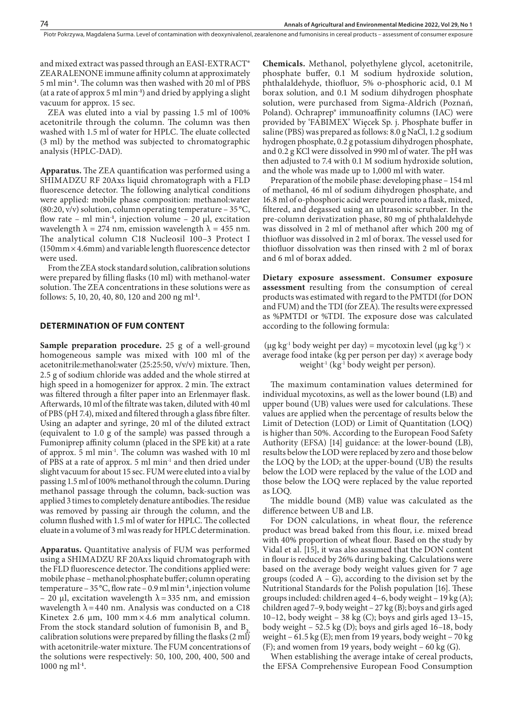and mixed extract was passed through an EASI-EXTRACT® ZEARALENONE immune affinity column at approximately 5 ml min**-1**. The column was then washed with 20 ml of PBS (at a rate of approx 5 ml min**-1**) and dried by applying a slight vacuum for approx. 15 sec.

ZEA was eluted into a vial by passing 1.5 ml of 100% acetonitrile through the column. The column was then washed with 1.5 ml of water for HPLC. The eluate collected (3 ml) by the method was subjected to chromatographic analysis (HPLC-DAD).

**Apparatus.** The ZEA quantification was performed using a SHIMADZU RF 20Axs liquid chromatograph with a FLD fluorescence detector. The following analytical conditions were applied: mobile phase composition: methanol:water  $(80:20, v/v)$  solution, column operating temperature – 35 °C, flow rate – ml min**-1**, injection volume – 20 μl, excitation wavelength  $\lambda = 274$  nm, emission wavelength  $\lambda = 455$  nm. The analytical column C18 Nucleosil 100–3 Protect I (150mm×4.6mm) and variable length fluorescence detector were used.

From the ZEA stock standard solution, calibration solutions were prepared by filling flasks (10 ml) with methanol-water solution. The ZEA concentrations in these solutions were as follows: 5, 10, 20, 40, 80, 120 and 200 ng ml**-1**.

#### **DETERMINATION OF FUM CONTENT**

**Sample preparation procedure.** 25 g of a well-ground homogeneous sample was mixed with 100 ml of the acetonitrile:methanol:water (25:25:50, v/v/v) mixture. Then, 2.5 g of sodium chloride was added and the whole stirred at high speed in a homogenizer for approx. 2 min. The extract was filtered through a filter paper into an Erlenmayer flask. Afterwards, 10 ml of the filtrate was taken, diluted with 40 ml of PBS (pH 7.4), mixed and filtered through a glass fibre filter. Using an adapter and syringe, 20 ml of the diluted extract (equivalent to 1.0 g of the sample) was passed through a Fumoniprep affinity column (placed in the SPE kit) at a rate of approx. 5 ml min-1. The column was washed with 10 ml of PBS at a rate of approx. 5 ml min-1 and then dried under slight vacuum for about 15 sec. FUM were eluted into a vial by passing 1.5 ml of 100% methanol through the column. During methanol passage through the column, back-suction was applied 3 times to completely denature antibodies. The residue was removed by passing air through the column, and the column flushed with 1.5 ml of water for HPLC. The collected eluate in a volume of 3 ml was ready for HPLC determination.

**Apparatus.** Quantitative analysis of FUM was performed using a SHIMADZU RF 20Axs liquid chromatograph with the FLD fluorescence detector. The conditions applied were: mobile phase – methanol:phosphate buffer; column operating temperature – 35°C, flow rate – 0.9 ml min**-1**, injection volume – 20 μl, excitation wavelength  $\lambda$  = 335 nm, and emission wavelength  $\lambda$  = 440 nm. Analysis was conducted on a C18 Kinetex 2.6  $\mu$ m, 100 mm × 4.6 mm analytical column. From the stock standard solution of fumonisin  $B_1$  and  $B_2$ , calibration solutions were prepared by filling the flasks  $(2 \text{ ml})$ with acetonitrile-water mixture. The FUM concentrations of the solutions were respectively: 50, 100, 200, 400, 500 and 1000 ng ml**-1**.

**Chemicals.** Methanol, polyethylene glycol, acetonitrile, phosphate buffer, 0.1 M sodium hydroxide solution, phthalaldehyde, thiofluor, 5% o-phosphoric acid, 0.1 M borax solution, and 0.1 M sodium dihydrogen phosphate solution, were purchased from Sigma-Aldrich (Poznań, Poland). Ochraprep® immunoaffinity columns (IAC) were provided by 'FABIMEX' Więcek Sp. j. Phosphate buffer in saline (PBS) was prepared as follows: 8.0 g NaCl, 1.2 g sodium hydrogen phosphate, 0.2 g potassium dihydrogen phosphate, and 0.2 g KCl were dissolved in 990 ml of water. The pH was then adjusted to 7.4 with 0.1 M sodium hydroxide solution, and the whole was made up to 1,000 ml with water.

Preparation of the mobile phase: developing phase – 154 ml of methanol, 46 ml of sodium dihydrogen phosphate, and 16.8 ml of o-phosphoric acid were poured into a flask, mixed, filtered, and degassed using an ultrasonic scrubber. In the pre-column derivatization phase, 80 mg of phthalaldehyde was dissolved in 2 ml of methanol after which 200 mg of thiofluor was dissolved in 2 ml of borax. The vessel used for thiofluor dissolvation was then rinsed with 2 ml of borax and 6 ml of borax added.

**Dietary exposure assessment. Consumer exposure assessment** resulting from the consumption of cereal products was estimated with regard to the PMTDI (for DON and FUM) and the TDI (for ZEA). The results were expressed as %PMTDI or %TDI. The exposure dose was calculated according to the following formula:

(μg kg<sup>-1</sup> body weight per day) = mycotoxin level (μg kg<sup>-1</sup>)  $\times$ average food intake (kg per person per day)  $\times$  average body weight<sup>-1</sup> (kg<sup>-1</sup> body weight per person).

The maximum contamination values determined for individual mycotoxins, as well as the lower bound (LB) and upper bound (UB) values were used for calculations. These values are applied when the percentage of results below the Limit of Detection (LOD) or Limit of Quantitation (LOQ) is higher than 50%. According to the European Food Safety Authority (EFSA) [14] guidance: at the lower-bound (LB), results below the LOD were replaced by zero and those below the LOQ by the LOD; at the upper-bound (UB) the results below the LOD were replaced by the value of the LOD and those below the LOQ were replaced by the value reported as LOQ.

The middle bound (MB) value was calculated as the difference between UB and LB.

For DON calculations, in wheat flour, the reference product was bread baked from this flour, i.e. mixed bread with 40% proportion of wheat flour. Based on the study by Vidal et al. [15], it was also assumed that the DON content in flour is reduced by 26% during baking. Calculations were based on the average body weight values given for 7 age groups (coded  $A - G$ ), according to the division set by the Nutritional Standards for the Polish population [16]. These groups included: children aged 4–6, body weight – 19 kg (A); children aged 7–9, body weight – 27 kg (B); boys and girls aged 10–12, body weight – 38 kg (C); boys and girls aged 13–15, body weight – 52.5 kg (D); boys and girls aged 16–18, body weight – 61.5 kg (E); men from 19 years, body weight – 70 kg (F); and women from 19 years, body weight – 60 kg (G).

When establishing the average intake of cereal products, the EFSA Comprehensive European Food Consumption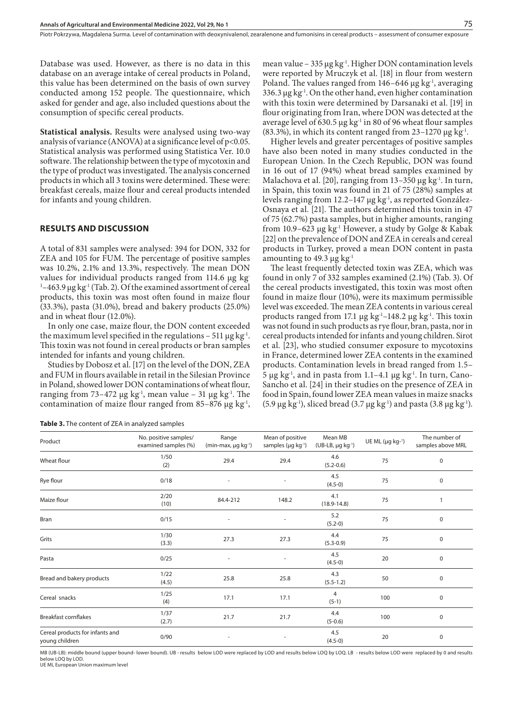Database was used. However, as there is no data in this database on an average intake of cereal products in Poland, this value has been determined on the basis of own survey conducted among 152 people. The questionnaire, which asked for gender and age, also included questions about the consumption of specific cereal products.

**Statistical analysis.** Results were analysed using two-way analysis of variance (ANOVA) at a significance level of  $p<0.05$ . Statistical analysis was performed using Statistica Ver. 10.0 software. The relationship between the type of mycotoxin and the type of product was investigated. The analysis concerned products in which all 3 toxins were determined. These were: breakfast cereals, maize flour and cereal products intended for infants and young children.

#### **RESULTS AND DISCUSSION**

A total of 831 samples were analysed: 394 for DON, 332 for ZEA and 105 for FUM. The percentage of positive samples was 10.2%, 2.1% and 13.3%, respectively. The mean DON values for individual products ranged from 114.6 μg kg- $1-463.9$  μg kg $1$  (Tab. 2). Of the examined assortment of cereal products, this toxin was most often found in maize flour (33.3%), pasta (31.0%), bread and bakery products (25.0%) and in wheat flour (12.0%).

In only one case, maize flour, the DON content exceeded the maximum level specified in the regulations – 511  $\mu$ g kg<sup>-1</sup>. This toxin was not found in cereal products or bran samples intended for infants and young children.

Studies by Dobosz et al. [17] on the level of the DON, ZEA and FUM in flours available in retail in the Silesian Province in Poland, showed lower DON contaminations of wheat flour, ranging from 73-472 μg kg<sup>-1</sup>, mean value – 31 μg kg<sup>-1</sup>. The contamination of maize flour ranged from 85–876 μg kg<sup>-1</sup>,

| Table 3. The content of ZEA in analyzed samples |
|-------------------------------------------------|
|-------------------------------------------------|

mean value - 335 μg kg<sup>-1</sup>. Higher DON contamination levels were reported by Mruczyk et al. [18] in flour from western Poland. The values ranged from  $146-646 \mu$ g kg<sup>-1</sup>, averaging 336.3  $\mu$ g kg<sup>-1</sup>. On the other hand, even higher contamination with this toxin were determined by Darsanaki et al. [19] in flour originating from Iran, where DON was detected at the average level of 630.5 μg kg<sup>-1</sup> in 80 of 96 wheat flour samples (83.3%), in which its content ranged from  $23-1270 \mu g kg^{-1}$ .

Higher levels and greater percentages of positive samples have also been noted in many studies conducted in the European Union. In the Czech Republic, DON was found in 16 out of 17 (94%) wheat bread samples examined by Malachova et al. [20], ranging from  $13-350 \mu g kg^{-1}$ . In turn, in Spain, this toxin was found in 21 of 75 (28%) samples at levels ranging from 12.2–147 μg kg<sup>-1</sup>, as reported González-Osnaya et al. [21]. The authors determined this toxin in 47 of 75 (62.7%) pasta samples, but in higher amounts, ranging from 10.9–623 μg kg<sup>-1</sup> However, a study by Golge & Kabak [22] on the prevalence of DON and ZEA in cereals and cereal products in Turkey, proved a mean DON content in pasta amounting to 49.3  $\mu$ g kg<sup>-1</sup>

The least frequently detected toxin was ZEA, which was found in only 7 of 332 samples examined (2.1%) (Tab. 3). Of the cereal products investigated, this toxin was most often found in maize flour (10%), were its maximum permissible level was exceeded. The mean ZEA contents in various cereal products ranged from 17.1 μg kg<sup>-1</sup>-148.2 μg kg<sup>-1</sup>. This toxin was not found in such products as rye flour, bran, pasta, nor in cereal products intended for infants and young children. Sirot et al. [23], who studied consumer exposure to mycotoxins in France, determined lower ZEA contents in the examined products. Contamination levels in bread ranged from 1.5– 5 μg kg<sup>-1</sup>, and in pasta from 1.1–4.1 μg kg<sup>-1</sup>. In turn, Cano-Sancho et al. [24] in their studies on the presence of ZEA in food in Spain, found lower ZEA mean values in maize snacks (5.9 μg kg<sup>-1</sup>), sliced bread (3.7 μg kg<sup>-1</sup>) and pasta (3.8 μg kg<sup>-1</sup>).

| Product                                           | No. positive samples/<br>examined samples (%) | Range<br>$(min-max, \mu g kg^{-1})$ | Mean of positive<br>samples ( $\mu$ g kg <sup>-1</sup> ) | Mean MB<br>$(UB-LB, \mu g kg^{-1})$ | UE ML $(\mu g kg^{-1})$ | The number of<br>samples above MRL |
|---------------------------------------------------|-----------------------------------------------|-------------------------------------|----------------------------------------------------------|-------------------------------------|-------------------------|------------------------------------|
| Wheat flour                                       | 1/50<br>(2)                                   | 29.4                                | 29.4                                                     | 4.6<br>$(5.2 - 0.6)$                | 75                      | $\mathbf 0$                        |
| Rye flour                                         | 0/18                                          | $\overline{\phantom{a}}$            |                                                          | 4.5<br>$(4.5-0)$                    | 75                      | 0                                  |
| Maize flour                                       | 2/20<br>(10)                                  | 84.4-212                            | 148.2                                                    | 4.1<br>$(18.9 - 14.8)$              | 75                      | 1                                  |
| Bran                                              | 0/15                                          |                                     |                                                          | 5.2<br>$(5.2-0)$                    | 75                      | $\mathbf 0$                        |
| Grits                                             | 1/30<br>(3.3)                                 | 27.3                                | 27.3                                                     | 4.4<br>$(5.3 - 0.9)$                | 75                      | $\mathbf 0$                        |
| Pasta                                             | 0/25                                          |                                     |                                                          | 4.5<br>$(4.5-0)$                    | 20                      | $\mathbf 0$                        |
| Bread and bakery products                         | 1/22<br>(4.5)                                 | 25.8                                | 25.8                                                     | 4.3<br>$(5.5 - 1.2)$                | 50                      | 0                                  |
| Cereal snacks                                     | 1/25<br>(4)                                   | 17.1                                | 17.1                                                     | 4<br>$(5-1)$                        | 100                     | $\mathbf 0$                        |
| <b>Breakfast cornflakes</b>                       | 1/37<br>(2.7)                                 | 21.7                                | 21.7                                                     | 4.4<br>$(5-0.6)$                    | 100                     | $\mathbf 0$                        |
| Cereal products for infants and<br>young children | 0/90                                          |                                     |                                                          | 4.5<br>$(4.5-0)$                    | 20                      | $\mathbf 0$                        |

MB (UB-LB): middle bound (upper bound- lower bound). UB - results below LOD were replaced by LOD and results below LOQ by LOQ. LB - results below LOD were replaced by 0 and results below LOQ by LOD.

UE ML European Union maximum level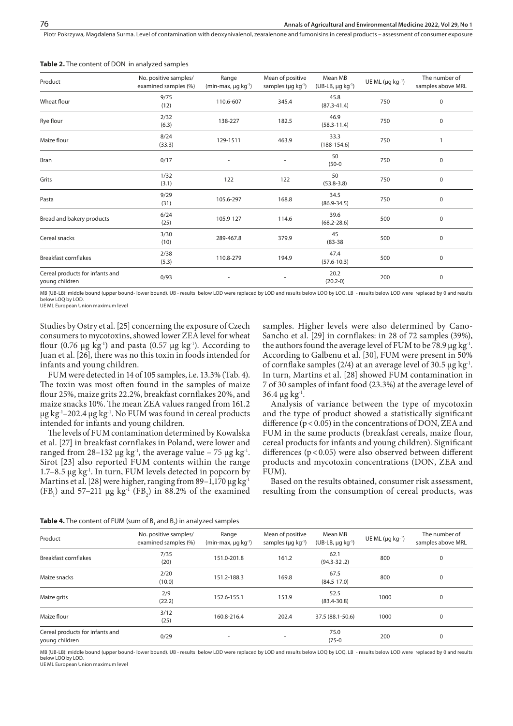Piotr Pokrzywa, Magdalena Surma, Level of contamination with deoxynivalenol, zearalenone and fumonisins in cereal products – assessment of consumer exposure

| Product                                           | No. positive samples/<br>examined samples (%) | Range<br>(min-max, µg kg <sup>-1</sup> ) | Mean of positive<br>samples ( $\mu$ g kg <sup>-1</sup> ) | Mean MB<br>$(UB-LB, \mu g kg^{-1})$ | UE ML ( $\mu$ g kg-1) | The number of<br>samples above MRL |
|---------------------------------------------------|-----------------------------------------------|------------------------------------------|----------------------------------------------------------|-------------------------------------|-----------------------|------------------------------------|
| Wheat flour                                       | 9/75<br>(12)                                  | 110.6-607                                | 345.4                                                    | 45.8<br>$(87.3 - 41.4)$             | 750                   | $\mathbf 0$                        |
| Rye flour                                         | 2/32<br>(6.3)                                 | 138-227                                  | 182.5                                                    | 46.9<br>$(58.3 - 11.4)$             | 750                   | 0                                  |
| Maize flour                                       | 8/24<br>(33.3)                                | 129-1511                                 | 463.9                                                    | 33.3<br>$(188-154.6)$               | 750                   |                                    |
| Bran                                              | 0/17                                          |                                          |                                                          | 50<br>$(50-0)$                      | 750                   | 0                                  |
| Grits                                             | 1/32<br>(3.1)                                 | 122                                      | 122                                                      | 50<br>$(53.8 - 3.8)$                | 750                   | 0                                  |
| Pasta                                             | 9/29<br>(31)                                  | 105.6-297                                | 168.8                                                    | 34.5<br>$(86.9 - 34.5)$             | 750                   | $\mathbf 0$                        |
| Bread and bakery products                         | 6/24<br>(25)                                  | 105.9-127                                | 114.6                                                    | 39.6<br>$(68.2 - 28.6)$             | 500                   | $\mathbf 0$                        |
| Cereal snacks                                     | 3/30<br>(10)                                  | 289-467.8                                | 379.9                                                    | 45<br>$(83 - 38)$                   | 500                   | 0                                  |
| <b>Breakfast cornflakes</b>                       | 2/38<br>(5.3)                                 | 110.8-279                                | 194.9                                                    | 47.4<br>$(57.6 - 10.3)$             | 500                   | $\mathbf 0$                        |
| Cereal products for infants and<br>young children | 0/93                                          |                                          |                                                          | 20.2<br>$(20.2 - 0)$                | 200                   | 0                                  |

**Table 2.** The content of DON in analyzed samples

MB (UB-LB): middle bound (upper bound- lower bound). UB - results below LOD were replaced by LOD and results below LOQ by LOQ. LB - results below LOD were replaced by 0 and results below LOQ by LOD.

UE ML European Union maximum level

Studies by Ostry et al. [25] concerning the exposure of Czech consumers to mycotoxins, showed lower ZEA level for wheat flour (0.76  $\mu$ g kg<sup>-1</sup>) and pasta (0.57  $\mu$ g kg<sup>-1</sup>). According to Juan et al. [26], there was no this toxin in foods intended for infants and young children.

FUM were detected in 14 of 105 samples, i.e. 13.3% (Tab. 4). The toxin was most often found in the samples of maize flour 25%, maize grits 22.2%, breakfast cornflakes 20%, and maize snacks 10%. The mean ZEA values ranged from 161.2 μg kg<sup>-1</sup>-202.4 μg kg<sup>-1</sup>. No FUM was found in cereal products intended for infants and young children.

The levels of FUM contamination determined by Kowalska et al. [27] in breakfast cornflakes in Poland, were lower and ranged from 28-132 μg kg<sup>-1</sup>, the average value - 75 μg kg<sup>-1</sup>. Sirot [23] also reported FUM contents within the range 1.7–8.5 μg kg-1. In turn, FUM levels detected in popcorn by Martins et al. [28] were higher, ranging from 89–1,170 μg kg-1 (FB<sub>1</sub>) and 57-211  $\mu$ g kg<sup>-1</sup> (FB<sub>2</sub>) in 88.2% of the examined

samples. Higher levels were also determined by Cano-Sancho et al. [29] in cornflakes: in 28 of 72 samples (39%), the authors found the average level of FUM to be 78.9  $\mu$ g kg<sup>-1</sup>. According to Galbenu et al. [30], FUM were present in 50% of cornflake samples (2/4) at an average level of 30.5  $\mu$ g kg<sup>-1</sup>. In turn, Martins et al. [28] showed FUM contamination in 7 of 30 samples of infant food (23.3%) at the average level of  $36.4 \mu g kg^{-1}$ .

Analysis of variance between the type of mycotoxin and the type of product showed a statistically significant difference  $(p < 0.05)$  in the concentrations of DON, ZEA and FUM in the same products (breakfast cereals, maize flour, cereal products for infants and young children). Significant differences ( $p$ <0.05) were also observed between different products and mycotoxin concentrations (DON, ZEA and FUM).

Based on the results obtained, consumer risk assessment, resulting from the consumption of cereal products, was

| <b>Table 4.</b> The content of FUM (sum of $B_1$ and $B_2$ ) in analyzed samples |  |  |  |
|----------------------------------------------------------------------------------|--|--|--|
|----------------------------------------------------------------------------------|--|--|--|

| Product                                           | No. positive samples/<br>examined samples (%) | Range<br>$(min-max, \mu q kq^{-1})$ | Mean of positive<br>samples (µg kg <sup>-1</sup> ) | Mean MB<br>$(UB-LB, \mu q kq^{-1})$ | UE ML ( $\mu$ g kg-1) | The number of<br>samples above MRL |  |
|---------------------------------------------------|-----------------------------------------------|-------------------------------------|----------------------------------------------------|-------------------------------------|-----------------------|------------------------------------|--|
| Breakfast cornflakes                              | 7/35<br>(20)                                  | 151.0-201.8                         | 161.2                                              | 62.1<br>$(94.3 - 32.2)$             | 800                   | $\mathbf 0$                        |  |
| Maize snacks                                      | 2/20<br>(10.0)                                | 151.2-188.3                         | 169.8                                              | 67.5<br>$(84.5 - 17.0)$             | 800                   | $\mathbf 0$                        |  |
| Maize grits                                       | 2/9<br>(22.2)                                 | 152.6-155.1                         | 153.9                                              | 52.5<br>$(83.4 - 30.8)$             | 1000                  | $\mathbf 0$                        |  |
| Maize flour                                       | 3/12<br>(25)                                  | 160.8-216.4                         | 202.4                                              | 37.5 (88.1-50.6)                    | 1000                  | $\mathbf 0$                        |  |
| Cereal products for infants and<br>young children | 0/29                                          |                                     |                                                    | 75.0<br>$(75-0)$                    | 200                   | $\mathbf 0$                        |  |
|                                                   |                                               |                                     |                                                    |                                     |                       |                                    |  |

MB (UB-LB): middle bound (upper bound- lower bound). UB - results below LOD were replaced by LOD and results below LOQ by LOQ. LB - results below LOD were replaced by 0 and results below LOQ by LOD.

UE ML European Union maximum level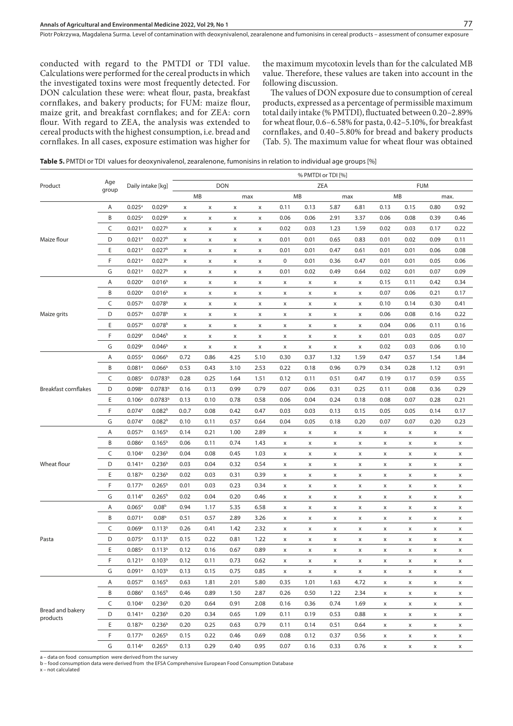conducted with regard to the PMTDI or TDI value. Calculations were performed for the cereal products in which the investigated toxins were most frequently detected. For DON calculation these were: wheat flour, pasta, breakfast cornflakes, and bakery products; for FUM: maize flour, maize grit, and breakfast cornflakes; and for ZEA: corn flour. With regard to ZEA, the analysis was extended to cereal products with the highest consumption, i.e. bread and cornflakes. In all cases, exposure estimation was higher for

the maximum mycotoxin levels than for the calculated MB value. Therefore, these values are taken into account in the following discussion.

The values of DON exposure due to consumption of cereal products, expressed as a percentage of permissible maximum total daily intake (% PMTDI), fluctuated between 0.20–2.89% for wheat flour, 0.6–6.58% for pasta, 0.42–5.10%, for breakfast cornflakes, and 0.40–5.80% for bread and bakery products (Tab. 5). The maximum value for wheat flour was obtained

**Table 5.** PMTDI or TDI values for deoxynivalenol, zearalenone, fumonisins in relation to individual age groups [%]

|                              |              |                      |                     | % PMTDI or TDI [%] |                    |             |      |             |                |      |                |                |      |      |                |
|------------------------------|--------------|----------------------|---------------------|--------------------|--------------------|-------------|------|-------------|----------------|------|----------------|----------------|------|------|----------------|
| Product                      | Age<br>group |                      | Daily intake [kg]   | <b>DON</b>         |                    |             | ZEA  |             |                |      | <b>FUM</b>     |                |      |      |                |
|                              |              |                      |                     |                    | MB                 | max         |      | MB          |                | max  |                | MB             |      | max. |                |
|                              | Α            | $0.025^a$            | 0.029 <sup>b</sup>  | x                  | $\pmb{\times}$     | $\mathsf X$ | x    | 0.11        | 0.13           | 5.87 | 6.81           | 0.13           | 0.15 | 0.80 | 0.92           |
|                              | B            | $0.025^a$            | 0.029 <sup>b</sup>  | X                  | X                  | x           | x    | 0.06        | 0.06           | 2.91 | 3.37           | 0.06           | 0.08 | 0.39 | 0.46           |
|                              | C            | 0.021a               | 0.027 <sup>b</sup>  | X                  | $\pmb{\times}$     | X           | x    | 0.02        | 0.03           | 1.23 | 1.59           | 0.02           | 0.03 | 0.17 | 0.22           |
| Maize flour                  | D            | $0.021$ <sup>a</sup> | 0.027 <sup>b</sup>  | x                  | $\pmb{\mathsf{x}}$ | X           | x    | 0.01        | 0.01           | 0.65 | 0.83           | 0.01           | 0.02 | 0.09 | 0.11           |
|                              | E            | $0.021$ <sup>a</sup> | 0.027 <sup>b</sup>  | X                  | $\pmb{\times}$     | X           | x    | 0.01        | 0.01           | 0.47 | 0.61           | 0.01           | 0.01 | 0.06 | 0.08           |
|                              | F            | $0.021$ <sup>a</sup> | 0.027 <sup>b</sup>  | X                  | $\pmb{\times}$     | $\mathsf X$ | x    | $\pmb{0}$   | 0.01           | 0.36 | 0.47           | 0.01           | 0.01 | 0.05 | 0.06           |
|                              | G            | $0.021$ <sup>a</sup> | 0.027 <sup>b</sup>  | X                  | $\pmb{\times}$     | $\mathsf X$ | x    | 0.01        | 0.02           | 0.49 | 0.64           | 0.02           | 0.01 | 0.07 | 0.09           |
|                              | Α            | $0.020$ <sup>a</sup> | 0.016 <sup>b</sup>  | X                  | $\pmb{\times}$     | X           | x    | $\mathsf X$ | X              | x    | X              | 0.15           | 0.11 | 0.42 | 0.34           |
|                              | B            | $0.020$ <sup>a</sup> | 0.016 <sup>b</sup>  | х                  | $\pmb{\times}$     | x           | x    | X           | X              | x    | $\pmb{\times}$ | 0.07           | 0.06 | 0.21 | 0.17           |
|                              | C            | $0.057$ <sup>a</sup> | 0.078 <sup>b</sup>  | X                  | X                  | x           | x    | X           | X              | x    | X              | 0.10           | 0.14 | 0.30 | 0.41           |
| Maize grits                  | D            | $0.057$ <sup>a</sup> | 0.078 <sup>b</sup>  | X                  | X                  | x           | x    | X           | X              | x    | X              | 0.06           | 0.08 | 0.16 | 0.22           |
|                              | Ε            | $0.057$ <sup>a</sup> | 0.078 <sup>b</sup>  | х                  | X                  | x           | x    | X           | X              | x    | X              | 0.04           | 0.06 | 0.11 | 0.16           |
|                              | F            | 0.029a               | 0.046 <sup>b</sup>  | X                  | X                  | x           | x    | X           | X              | x    | X              | 0.01           | 0.03 | 0.05 | 0.07           |
|                              | G            | 0.029a               | 0.046 <sup>b</sup>  | X                  | $\pmb{\times}$     | x           | x    | x           | X              | x    | X              | 0.02           | 0.03 | 0.06 | 0.10           |
|                              | Α            | $0.055^{a}$          | 0.066 <sup>b</sup>  | 0.72               | 0.86               | 4.25        | 5.10 | 0.30        | 0.37           | 1.32 | 1.59           | 0.47           | 0.57 | 1.54 | 1.84           |
|                              | B            | $0.081$ <sup>a</sup> | 0.066 <sup>b</sup>  | 0.53               | 0.43               | 3.10        | 2.53 | 0.22        | 0.18           | 0.96 | 0.79           | 0.34           | 0.28 | 1.12 | 0.91           |
|                              | C            | $0.085$ <sup>a</sup> | 0.0783 <sup>b</sup> | 0.28               | 0.25               | 1.64        | 1.51 | 0.12        | 0.11           | 0.51 | 0.47           | 0.19           | 0.17 | 0.59 | 0.55           |
| <b>Breakfast cornflakes</b>  | D            | $0.098$ <sup>a</sup> | 0.0783 <sup>b</sup> | 0.16               | 0.13               | 0.99        | 0.79 | 0.07        | 0.06           | 0.31 | 0.25           | 0.11           | 0.08 | 0.36 | 0.29           |
|                              | E            | $0.106^a$            | 0.0783 <sup>b</sup> | 0.13               | 0.10               | 0.78        | 0.58 | 0.06        | 0.04           | 0.24 | 0.18           | 0.08           | 0.07 | 0.28 | 0.21           |
|                              | F            | $0.074$ <sup>a</sup> | 0.082 <sup>b</sup>  | 0.0.7              | 0.08               | 0.42        | 0.47 | 0.03        | 0.03           | 0.13 | 0.15           | 0.05           | 0.05 | 0.14 | 0.17           |
|                              | G            | $0.074$ <sup>a</sup> | 0.082 <sup>b</sup>  | 0.10               | 0.11               | 0.57        | 0.64 | 0.04        | 0.05           | 0.18 | 0.20           | 0.07           | 0.07 | 0.20 | 0.23           |
|                              | Α            | $0.057$ <sup>a</sup> | 0.165 <sup>b</sup>  | 0.14               | 0.21               | 1.00        | 2.89 | X           | x              | x    | x              | X              | x    | x    | X              |
|                              | B            | $0.086^{\circ}$      | 0.165 <sup>b</sup>  | 0.06               | 0.11               | 0.74        | 1.43 | X           | X              | x    | x              | X              | x    | x    | x              |
|                              | C            | 0.104 <sup>a</sup>   | 0.236 <sup>b</sup>  | 0.04               | 0.08               | 0.45        | 1.03 | X           | X              | x    | x              | X              | x    | x    | x              |
| Wheat flour                  | D            | $0.141$ <sup>a</sup> | 0.236 <sup>b</sup>  | 0.03               | 0.04               | 0.32        | 0.54 | X           | X              | x    | x              | X              | x    | x    | X              |
|                              | Ε            | $0.187$ <sup>a</sup> | 0.236 <sup>b</sup>  | 0.02               | 0.03               | 0.31        | 0.39 | X           | X              | x    | x              | X              | x    | x    | X              |
|                              | F            | $0.177$ <sup>a</sup> | $0.265^{\rm b}$     | 0.01               | 0.03               | 0.23        | 0.34 | X           | $\pmb{\times}$ | X    | X              | X              | X    | x    | X              |
|                              | G            | $0.114$ <sup>a</sup> | $0.265^{\rm b}$     | 0.02               | 0.04               | 0.20        | 0.46 | X           | $\pmb{\times}$ | X    | X              | X              | X    | X    | X              |
|                              | Α            | $0.065^a$            | 0.08 <sup>b</sup>   | 0.94               | 1.17               | 5.35        | 6.58 | $\mathsf X$ | x              | x    | X              | $\pmb{\times}$ | X    | X    | X              |
|                              | B            | $0.071$ <sup>a</sup> | 0.08 <sup>b</sup>   | 0.51               | 0.57               | 2.89        | 3.26 | $\mathsf X$ | X              | x    | X              | x              | x    | X    | X              |
|                              | C            | 0.069a               | 0.113 <sup>b</sup>  | 0.26               | 0.41               | 1.42        | 2.32 | X           | X              | x    | x              | x              | x    | x    | x              |
| Pasta                        | D            | $0.075$ <sup>a</sup> | 0.113 <sup>b</sup>  | 0.15               | 0.22               | 0.81        | 1.22 | X           | X              | x    | x              | x              | x    | x    | x              |
|                              | Ε            | $0.085^{\circ}$      | 0.113 <sup>b</sup>  | 0.12               | 0.16               | 0.67        | 0.89 | X           | x              | x    | x              | x              | x    | x    | X              |
|                              | F            | 0.121a               | 0.103 <sup>b</sup>  | 0.12               | 0.11               | 0.73        | 0.62 | X           | x              | x    | x              | x              | x    | x    | x              |
|                              | G            | 0.091a               | 0.103 <sup>b</sup>  | 0.13               | 0.15               | 0.75        | 0.85 | х           | х              | X    | x              | х              | х    | x    | х              |
|                              | Α            | $0.057$ <sup>a</sup> | 0.165 <sup>b</sup>  | 0.63               | 1.81               | 2.01        | 5.80 | 0.35        | 1.01           | 1.63 | 4.72           | x              | X    | X    | X              |
|                              | B            | $0.086$ <sup>a</sup> | 0.165 <sup>b</sup>  | 0.46               | 0.89               | 1.50        | 2.87 | 0.26        | 0.50           | 1.22 | 2.34           | x              | x    | x    | X              |
|                              | C            | $0.104^{a}$          | 0.236 <sup>b</sup>  | 0.20               | 0.64               | 0.91        | 2.08 | 0.16        | 0.36           | 0.74 | 1.69           | x              | x    | x    | х              |
| Bread and bakery<br>products | D            | $0.141$ <sup>a</sup> | 0.236 <sup>b</sup>  | 0.20               | 0.34               | 0.65        | 1.09 | 0.11        | 0.19           | 0.53 | 0.88           | X              | x    | x    | x              |
|                              | Ε            | $0.187$ <sup>a</sup> | 0.236 <sup>b</sup>  | 0.20               | 0.25               | 0.63        | 0.79 | 0.11        | 0.14           | 0.51 | 0.64           | x              | x    | x    | х              |
|                              | F            | 0.177a               | 0.265 <sup>b</sup>  | 0.15               | 0.22               | 0.46        | 0.69 | 0.08        | 0.12           | 0.37 | 0.56           | X              | x    | x    | х              |
|                              | G            | $0.114^a$            | 0.265 <sup>b</sup>  | 0.13               | 0.29               | 0.40        | 0.95 | 0.07        | 0.16           | 0.33 | 0.76           | $\pmb{\times}$ | X    | X    | $\pmb{\times}$ |

a – data on food consumption were derived from the survey b – food consumption data were derived from the EFSA Comprehensive European Food Consumption Database

x – not calculated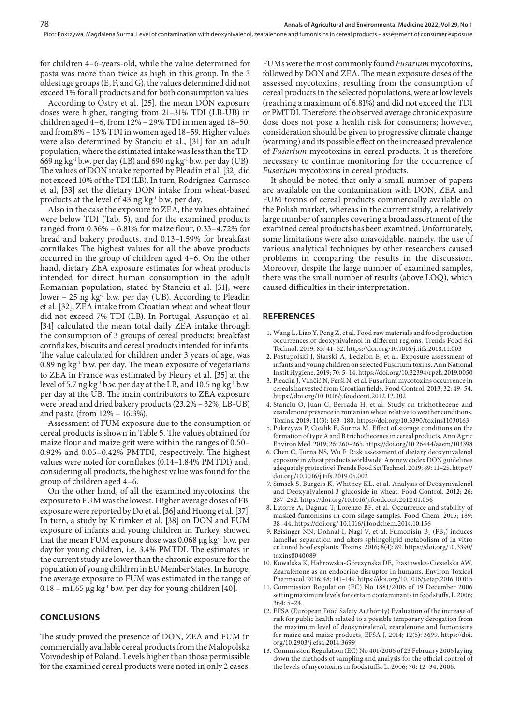for children 4–6-years-old, while the value determined for pasta was more than twice as high in this group. In the 3 oldest age groups (E, F, and G), the values determined did not exceed 1% for all products and for both consumption values.

According to Ostry et al. [25], the mean DON exposure doses were higher, ranging from 21–31% TDI (LB-UB) in children aged 4–6, from 12% – 29% TDI in men aged 18–50, and from 8% – 13% TDI in women aged 18–59. Higher values were also determined by Stanciu et al., [31] for an adult population, where the estimated intake was less than the TD: 669 ng kg<sup>-1</sup> b.w. per day (LB) and 690 ng kg<sup>-1</sup> b.w. per day (UB). The values of DON intake reported by Pleadin et al. [32] did not exceed 10% of the TDI (LB). In turn, Rodríguez-Carrasco et al, [33] set the dietary DON intake from wheat-based products at the level of 43 ng  $kg<sup>-1</sup>$  b.w. per day.

Also in the case the exposure to ZEA, the values obtained were below TDI (Tab. 5), and for the examined products ranged from 0.36% – 6.81% for maize flour, 0.33–4.72% for bread and bakery products, and 0.13–1.59% for breakfast cornflakes The highest values for all the above products occurred in the group of children aged 4–6. On the other hand, dietary ZEA exposure estimates for wheat products intended for direct human consumption in the adult Romanian population, stated by Stanciu et al. [31], were lower – 25 ng  $kg<sup>-1</sup>$  b.w. per day (UB). According to Pleadin et al. [32], ZEA intake from Croatian wheat and wheat flour did not exceed 7% TDI (LB). In Portugal, Assunção et al, [34] calculated the mean total daily ZEA intake through the consumption of 3 groups of cereal products: breakfast cornflakes, biscuits and cereal products intended for infants. The value calculated for children under 3 years of age, was 0.89 ng  $kg<sup>1</sup>$  b.w. per day. The mean exposure of vegetarians to ZEA in France was estimated by Fleury et al. [35] at the level of 5.7 ng kg<sup>-1</sup> b.w. per day at the LB, and 10.5 ng kg<sup>-1</sup> b.w. per day at the UB. The main contributors to ZEA exposure were bread and dried bakery products (23.2% – 32%, LB-UB) and pasta (from 12% – 16.3%).

Assessment of FUM exposure due to the consumption of cereal products is shown in Table 5. The values obtained for maize flour and maize grit were within the ranges of 0.50– 0.92% and 0.05–0.42% PMTDI, respectively. The highest values were noted for cornflakes (0.14–1.84% PMTDI) and, considering all products, the highest value was found for the group of children aged 4–6.

On the other hand, of all the examined mycotoxins, the exposure to FUM was the lowest. Higher average doses of FB<sub>1</sub> exposure were reported by Do et al, [36] and Huong et al. [37]. In turn, a study by Kirimker et al. [38] on DON and FUM exposure of infants and young children in Turkey, showed that the mean FUM exposure dose was 0.068 μg kg<sup>-1</sup> b.w. per day for young children, i.e. 3.4% PMTDI. The estimates in the current study are lower than the chronic exposure for the population of young children in EU Member States. In Europe, the average exposure to FUM was estimated in the range of  $0.18 - m1.65 \mu g kg^{-1}$  b.w. per day for young children [40].

# **CONCLUSIONS**

The study proved the presence of DON, ZEA and FUM in commercially available cereal products from the Malopolska Voivodeship of Poland. Levels higher than those permissible for the examined cereal products were noted in only 2 cases.

FUMs were the most commonly found *Fusarium* mycotoxins, followed by DON and ZEA. The mean exposure doses of the assessed mycotoxins, resulting from the consumption of cereal products in the selected populations, were at low levels (reaching a maximum of 6.81%) and did not exceed the TDI or PMTDI. Therefore, the observed average chronic exposure dose does not pose a health risk for consumers; however, consideration should be given to progressive climate change (warming) and its possible effect on the increased prevalence of *Fusarium* mycotoxins in cereal products. It is therefore necessary to continue monitoring for the occurrence of *Fusarium* mycotoxins in cereal products.

It should be noted that only a small number of papers are available on the contamination with DON, ZEA and FUM toxins of cereal products commercially available on the Polish market, whereas in the current study, a relatively large number of samples covering a broad assortment of the examined cereal products has been examined. Unfortunately, some limitations were also unavoidable, namely, the use of various analytical techniques by other researchers caused problems in comparing the results in the discussion. Moreover, despite the large number of examined samples, there was the small number of results (above LOQ), which caused difficulties in their interpretation.

#### **REFERENCES**

- 1. Wang L, Liao Y, Peng Z, et al. Food raw materials and food production occurrences of deoxynivalenol in different regions. Trends Food Sci Technol. 2019; 83: 41–52. https://doi.org/10.1016/j.tifs.2018.11.003
- 2. Postupolski J, Starski A, Ledzion E, et al. Exposure assessment of infants and young children on selected Fusarium toxins. Ann National Instit Hygiene. 2019; 70: 5–14. https://doi.org/10.32394/rpzh.2019.0050
- 3. Pleadin J, Vahčić N, Perši N, et al. Fusarium mycotoxins occurrence in cereals harvested from Croatian fields. Food Control. 2013; 32: 49–54. https://doi.org/10.1016/j.foodcont.2012.12.002
- 4. Stanciu O, Juan C, Berrada H, et al. Study on trichothecene and zearalenone presence in romanian wheat relative to weather conditions. Toxins. 2019; 11(3): 163–180. https://doi.org/10.3390/toxins11030163
- 5. Pokrzywa P, Cieslik E, Surma M. Effect of storage conditions on the formation of type A and B trichothecenes in cereal products. Ann Agric Environ Med. 2019; 26: 260–265. https://doi.org/10.26444/aaem/103398
- 6. Chen C, Turna NS, Wu F. Risk assessment of dietary deoxynivalenol exposure in wheat products worldwide: Are new codex DON guidelines adequately protective? Trends Food Sci Technol. 2019; 89: 11–25. https:// doi.org/10.1016/j.tifs.2019.05.002
- 7. Simsek S, Burgess K, Whitney KL, et al. Analysis of Deoxynivalenol and Deoxynivalenol-3-glucoside in wheat. Food Control. 2012; 26: 287–292. https://doi.org/10.1016/j.foodcont.2012.01.056
- 8. Latorre A, Dagnac T, Lorenzo BF, et al. Occurrence and stability of masked fumonisins in corn silage samples. Food Chem. 2015; 189: 38–44. https://doi.org/ 10.1016/j.foodchem.2014.10.156
- 9. Reisinger NN, Dohnal I, Nagl V, et al. Fumonisin B<sub>1</sub> (FB<sub>1</sub>) induces lamellar separation and alters sphingolipid metabolism of in vitro cultured hoof explants. Toxins. 2016; 8(4): 89. https://doi.org/10.3390/ toxins8040089
- 10. Kowalska K, Habrowska-Górczynska DE, Piastowska-Ciesielska AW. Zearalenone as an endocrine disruptor in humans. Environ Toxicol Pharmacol. 2016; 48: 141–149. https://doi.org/10.1016/j.etap.2016.10.015
- 11. Commission Regulation (EC) No 1881/2006 of 19 December 2006 setting maximum levels for certain contaminants in foodstuffs. L.2006; 364: 5–24.
- 12. EFSA (European Food Safety Authority) Evaluation of the increase of risk for public health related to a possible temporary derogation from the maximum level of deoxynivalenol, zearalenone and fumonisins for maize and maize products, EFSA J. 2014; 12(5): 3699. https://doi. org/10.2903/j.efsa.2014.3699
- 13. Commission Regulation (EC) No 401/2006 of 23 February 2006 laying down the methods of sampling and analysis for the official control of the levels of mycotoxins in foodstuffs. L. 2006; 70: 12–34, 2006.